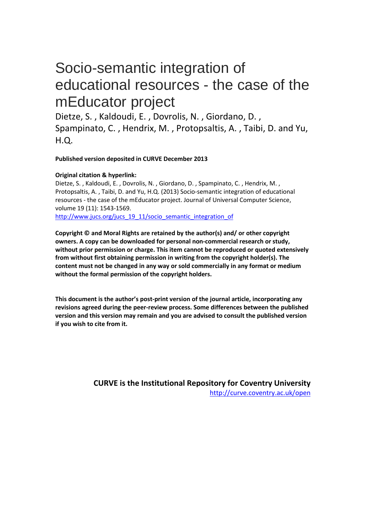# Socio-semantic integration of educational resources - the case of the mEducator project

Dietze, S. , Kaldoudi, E. , Dovrolis, N. , Giordano, D. , Spampinato, C. , Hendrix, M. , Protopsaltis, A. , Taibi, D. and Yu, H.Q.

# **Published version deposited in CURVE December 2013**

# **Original citation & hyperlink:**

Dietze, S. , Kaldoudi, E. , Dovrolis, N. , Giordano, D. , Spampinato, C. , Hendrix, M. , Protopsaltis, A. , Taibi, D. and Yu, H.Q. (2013) Socio-semantic integration of educational resources - the case of the mEducator project. Journal of Universal Computer Science, volume 19 (11): 1543-1569.

[http://www.jucs.org/jucs\\_19\\_11/socio\\_semantic\\_integration\\_of](http://www.jucs.org/jucs_19_11/socio_semantic_integration_of)

**Copyright © and Moral Rights are retained by the author(s) and/ or other copyright owners. A copy can be downloaded for personal non-commercial research or study, without prior permission or charge. This item cannot be reproduced or quoted extensively from without first obtaining permission in writing from the copyright holder(s). The content must not be changed in any way or sold commercially in any format or medium without the formal permission of the copyright holders.** 

**This document is the author's post-print version of the journal article, incorporating any revisions agreed during the peer-review process. Some differences between the published version and this version may remain and you are advised to consult the published version if you wish to cite from it.** 

> **CURVE is the Institutional Repository for Coventry University** <http://curve.coventry.ac.uk/open>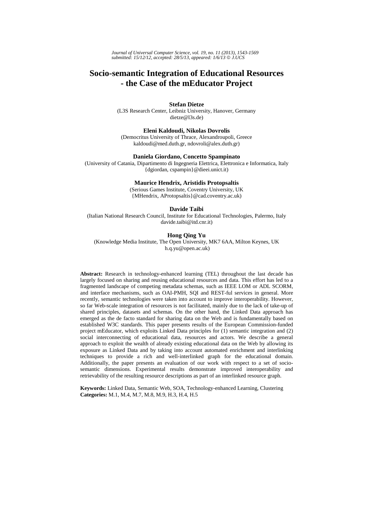*Journal of Universal Computer Science, vol. 19, no. 11 (2013), 1543-1569 submitted: 15/12/12, accepted: 28/5/13, appeared: 1/6/13* © *J.UCS*

# **Socio-semantic Integration of Educational Resources - the Case of the mEducator Project**

**Stefan Dietze** 

(L3S Research Center, Leibniz University, Hanover, Germany dietze@l3s.de)

**Eleni Kaldoudi, Nikolas Dovrolis** (Democritus University of Thrace, Alexandroupoli, Greece

kaldoudi@med.duth.gr, ndovroli@alex.duth.gr)

#### **Daniela Giordano, Concetto Spampinato**

(University of Catania, Dipartimento di Ingegneria Elettrica, Elettronica e Informatica, Italy {dgiordan, cspampin}@dieei.unict.it)

#### **Maurice Hendrix, Aristidis Protopsaltis**

(Serious Games Institute, Coventry University, UK {MHendrix, AProtopsaltis}@cad.coventry.ac.uk)

#### **Davide Taibi**

(Italian National Research Council, Institute for Educational Technologies, Palermo, Italy davide.taibi@itd.cnr.it)

## **Hong Qing Yu**

(Knowledge Media Institute, The Open University, MK7 6AA, Milton Keynes, UK h.q.yu@open.ac.uk)

**Abstract:** Research in technology-enhanced learning (TEL) throughout the last decade has largely focused on sharing and reusing educational resources and data. This effort has led to a fragmented landscape of competing metadata schemas, such as IEEE LOM or ADL SCORM, and interface mechanisms, such as OAI-PMH, SQI and REST-ful services in general. More recently, semantic technologies were taken into account to improve interoperability. However, so far Web-scale integration of resources is not facilitated, mainly due to the lack of take-up of shared principles, datasets and schemas. On the other hand, the Linked Data approach has emerged as the de facto standard for sharing data on the Web and is fundamentally based on established W3C standards. This paper presents results of the European Commission-funded project mEducator, which exploits Linked Data principles for (1) semantic integration and (2) social interconnecting of educational data, resources and actors. We describe a general approach to exploit the wealth of already existing educational data on the Web by allowing its exposure as Linked Data and by taking into account automated enrichment and interlinking techniques to provide a rich and well-interlinked graph for the educational domain. Additionally, the paper presents an evaluation of our work with respect to a set of sociosemantic dimensions. Experimental results demonstrate improved interoperability and retrievability of the resulting resource descriptions as part of an interlinked resource graph.

**Keywords:** Linked Data, Semantic Web, SOA, Technology-enhanced Learning, Clustering **Categories:** M.1, M.4, M.7, M.8, M.9, H.3, H.4, H.5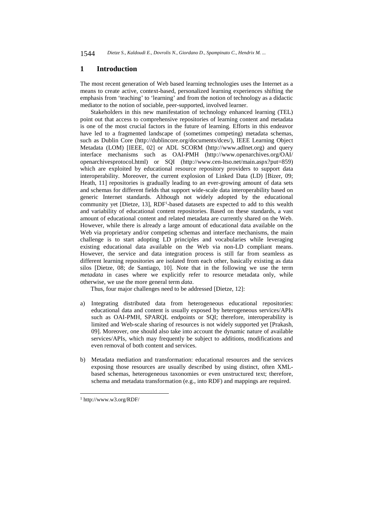1544 *Dietze S., Kaldoudi E., Dovrolis N., Giordano D., Spampinato C., Hendrix M. ...*

## **1 Introduction**

The most recent generation of Web based learning technologies uses the Internet as a means to create active, context-based, personalized learning experiences shifting the emphasis from 'teaching' to 'learning' and from the notion of technology as a didactic mediator to the notion of sociable, peer-supported, involved learner.

Stakeholders in this new manifestation of technology enhanced learning (TEL) point out that access to comprehensive repositories of learning content and metadata is one of the most crucial factors in the future of learning. Efforts in this endeavor have led to a fragmented landscape of (sometimes competing) metadata schemas, such as Dublin Core (http://dublincore.org/documents/dces/), IEEE Learning Object Metadata (LOM) [IEEE, 02] or ADL SCORM (http://www.adlnet.org) and query interface mechanisms such as OAI-PMH (http://www.openarchives.org/OAI/ openarchivesprotocol.html) or SQI (http://www.cen-ltso.net/main.aspx?put=859) which are exploited by educational resource repository providers to support data interoperability. Moreover, the current explosion of Linked Data (LD) [Bizer, 09; Heath, 11] repositories is gradually leading to an ever-growing amount of data sets and schemas for different fields that support wide-scale data interoperability based on generic Internet standards. Although not widely adopted by the educational community yet [Dietze, 13], RDF1-based datasets are expected to add to this wealth and variability of educational content repositories. Based on these standards, a vast amount of educational content and related metadata are currently shared on the Web. However, while there is already a large amount of educational data available on the Web via proprietary and/or competing schemas and interface mechanisms, the main challenge is to start adopting LD principles and vocabularies while leveraging existing educational data available on the Web via non-LD compliant means. However, the service and data integration process is still far from seamless as different learning repositories are isolated from each other, basically existing as data silos [Dietze, 08; de Santiago, 10]. Note that in the following we use the term *metadata* in cases where we explicitly refer to resource metadata only, while otherwise, we use the more general term *data*.

Thus, four major challenges need to be addressed [Dietze, 12]:

- a) Integrating distributed data from heterogeneous educational repositories: educational data and content is usually exposed by heterogeneous services/APIs such as OAI-PMH, SPARQL endpoints or SQI; therefore, interoperability is limited and Web-scale sharing of resources is not widely supported yet [Prakash, 09]. Moreover, one should also take into account the dynamic nature of available services/APIs, which may frequently be subject to additions, modifications and even removal of both content and services.
- b) Metadata mediation and transformation: educational resources and the services exposing those resources are usually described by using distinct, often XMLbased schemas, heterogeneous taxonomies or even unstructured text; therefore, schema and metadata transformation (e.g., into RDF) and mappings are required.

l

<sup>1</sup> http://www.w3.org/RDF/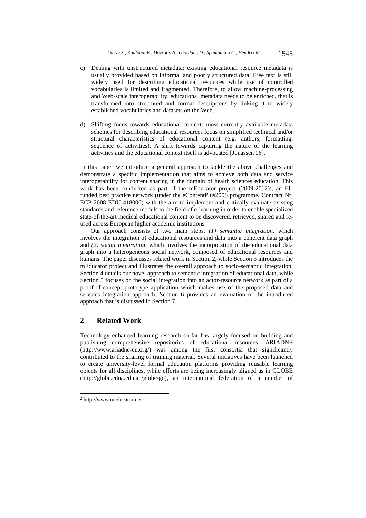- c) Dealing with unstructured metadata: existing educational resource metadata is usually provided based on informal and poorly structured data. Free text is still widely used for describing educational resources while use of controlled vocabularies is limited and fragmented. Therefore, to allow machine-processing and Web-scale interoperability, educational metadata needs to be enriched, that is transformed into structured and formal descriptions by linking it to widely established vocabularies and datasets on the Web.
- d) Shifting focus towards educational context: most currently available metadata schemes for describing educational resources focus on simplified technical and/or structural characteristics of educational content (e.g. authors, formatting, sequence of activities). A shift towards capturing the nature of the learning activities and the educational context itself is advocated [Jonassen 06].

In this paper we introduce a general approach to tackle the above challenges and demonstrate a specific implementation that aims to achieve both data and service interoperability for content sharing in the domain of health sciences education. This work has been conducted as part of the mEducator project  $(2009-2012)^2$ , an EU funded best practice network (under the eContentPlus2008 programme, Contract Nr: ECP 2008 EDU 418006) with the aim to implement and critically evaluate existing standards and reference models in the field of e-learning in order to enable specialized state-of-the-art medical educational content to be discovered, retrieved, shared and reused across European higher academic institutions.

Our approach consists of two main steps, *(1) semantic integration*, which involves the integration of educational resources and data into a coherent data graph and *(2) social integration*, which involves the incorporation of the educational data graph into a heterogeneous social network, composed of educational resources and humans. The paper discusses related work in Section 2, while Section 3 introduces the mEducator project and illustrates the overall approach to socio-semantic integration. Section 4 details our novel approach to semantic integration of educational data, while Section 5 focuses on the social integration into an actor-resource network as part of a proof-of-concept prototype application which makes use of the proposed data and services integration approach. Section 6 provides an evaluation of the introduced approach that is discussed in Section 7.

# **2 Related Work**

Technology enhanced learning research so far has largely focused on building and publishing comprehensive repositories of educational resources. ARIADNE (http://www.ariadne-eu.org/) was among the first consortia that significantly contributed to the sharing of training material. Several initiatives have been launched to create university-level formal education platforms providing reusable learning objects for all disciplines, while efforts are being increasingly aligned as in GLOBE (http://globe.edna.edu.au/globe/go), an international federation of a number of

l

<sup>2</sup> http://www.meducator.net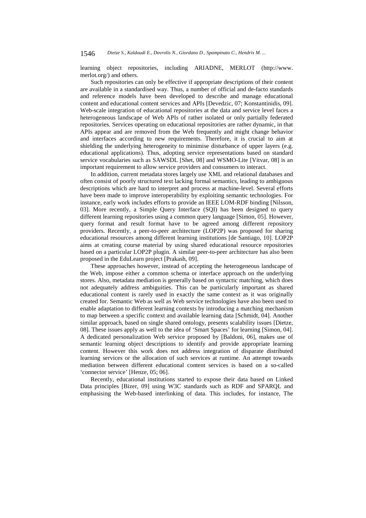learning object repositories, including ARIADNE, MERLOT (http://www. merlot.org/) and others.

Such repositories can only be effective if appropriate descriptions of their content are available in a standardised way. Thus, a number of official and de-facto standards and reference models have been developed to describe and manage educational content and educational content services and APIs [Devedzic, 07; Konstantinidis, 09]. Web-scale integration of educational repositories at the data and service level faces a heterogeneous landscape of Web APIs of rather isolated or only partially federated repositories. Services operating on educational repositories are rather dynamic, in that APIs appear and are removed from the Web frequently and might change behavior and interfaces according to new requirements. Therefore, it is crucial to aim at shielding the underlying heterogeneity to minimise disturbance of upper layers (e.g. educational applications). Thus, adopting service representations based on standard service vocabularies such as SAWSDL [Shet, 08] and WSMO-Lite [Vitvar, 08] is an important requirement to allow service providers and consumers to interact.

In addition, current metadata stores largely use XML and relational databases and often consist of poorly structured text lacking formal semantics, leading to ambiguous descriptions which are hard to interpret and process at machine-level. Several efforts have been made to improve interoperability by exploiting semantic technologies. For instance, early work includes efforts to provide an IEEE LOM-RDF binding [Nilsson, 03]. More recently, a Simple Query Interface (SQI) has been designed to query different learning repositories using a common query language [Simon, 05]. However, query format and result format have to be agreed among different repository providers. Recently, a peer-to-peer architecture (LOP2P) was proposed for sharing educational resources among different learning institutions [de Santiago, 10]. LOP2P aims at creating course material by using shared educational resource repositories based on a particular LOP2P plugin. A similar peer-to-peer architecture has also been proposed in the EduLearn project [Prakash, 09].

These approaches however, instead of accepting the heterogeneous landscape of the Web, impose either a common schema or interface approach on the underlying stores. Also, metadata mediation is generally based on syntactic matching, which does not adequately address ambiguities. This can be particularly important as shared educational content is rarely used in exactly the same context as it was originally created for. Semantic Web as well as Web service technologies have also been used to enable adaptation to different learning contexts by introducing a matching mechanism to map between a specific context and available learning data [Schmidt, 04]. Another similar approach, based on single shared ontology, presents scalability issues [Dietze, 08]. These issues apply as well to the idea of 'Smart Spaces' for learning [Simon, 04]. A dedicated personalization Web service proposed by [Baldoni, 06], makes use of semantic learning object descriptions to identify and provide appropriate learning content. However this work does not address integration of disparate distributed learning services or the allocation of such services at runtime. An attempt towards mediation between different educational content services is based on a so-called 'connector service' [Henze, 05; 06].

Recently, educational institutions started to expose their data based on Linked Data principles [Bizer, 09] using W3C standards such as RDF and SPARQL and emphasising the Web-based interlinking of data. This includes, for instance, The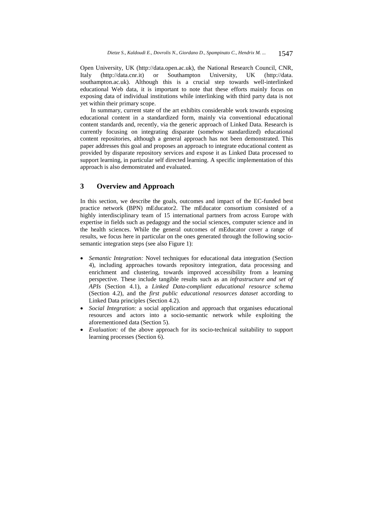Open University, UK (http://data.open.ac.uk), the National Research Council, CNR, Italy (http://data.cnr.it) or Southampton University, UK (http://data. southampton.ac.uk). Although this is a crucial step towards well-interlinked educational Web data, it is important to note that these efforts mainly focus on exposing data of individual institutions while interlinking with third party data is not yet within their primary scope.

In summary, current state of the art exhibits considerable work towards exposing educational content in a standardized form, mainly via conventional educational content standards and, recently, via the generic approach of Linked Data. Research is currently focusing on integrating disparate (somehow standardized) educational content repositories, although a general approach has not been demonstrated. This paper addresses this goal and proposes an approach to integrate educational content as provided by disparate repository services and expose it as Linked Data processed to support learning, in particular self directed learning. A specific implementation of this approach is also demonstrated and evaluated.

# **3 Overview and Approach**

In this section, we describe the goals, outcomes and impact of the EC-funded best practice network (BPN) mEducator2. The mEducator consortium consisted of a highly interdisciplinary team of 15 international partners from across Europe with expertise in fields such as pedagogy and the social sciences, computer science and in the health sciences. While the general outcomes of mEducator cover a range of results, we focus here in particular on the ones generated through the following sociosemantic integration steps (see also Figure 1):

- *Semantic Integration:* Novel techniques for educational data integration (Section 4), including approaches towards repository integration, data processing and enrichment and clustering, towards improved accessibility from a learning perspective. These include tangible results such as an *infrastructure and set of APIs* (Section 4.1), a *Linked Data-compliant educational resource schema* (Section 4.2), and the *first public educational resources dataset* according to Linked Data principles (Section 4.2).
- *Social Integration:* a social application and approach that organises educational resources and actors into a socio-semantic network while exploiting the aforementioned data (Section 5).
- *Evaluation:* of the above approach for its socio-technical suitability to support learning processes (Section 6).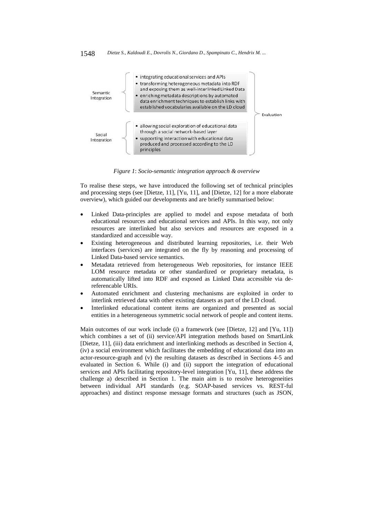

*Figure 1*: *Socio-semantic integration approach & overview* 

To realise these steps, we have introduced the following set of technical principles and processing steps (see [Dietze, 11], [Yu, 11], and [Dietze, 12] for a more elaborate overview), which guided our developments and are briefly summarised below:

- Linked Data-principles are applied to model and expose metadata of both educational resources and educational services and APIs. In this way, not only resources are interlinked but also services and resources are exposed in a standardized and accessible way.
- Existing heterogeneous and distributed learning repositories, i.e. their Web interfaces (services) are integrated on the fly by reasoning and processing of Linked Data-based service semantics.
- Metadata retrieved from heterogeneous Web repositories, for instance IEEE LOM resource metadata or other standardized or proprietary metadata, is automatically lifted into RDF and exposed as Linked Data accessible via dereferencable URIs.
- Automated enrichment and clustering mechanisms are exploited in order to interlink retrieved data with other existing datasets as part of the LD cloud.
- Interlinked educational content items are organized and presented as social entities in a heterogeneous symmetric social network of people and content items.

Main outcomes of our work include (i) a framework (see [Dietze, 12] and [Yu, 11]) which combines a set of (ii) service/API integration methods based on SmartLink [Dietze, 11], (iii) data enrichment and interlinking methods as described in Section 4, (iv) a social environment which facilitates the embedding of educational data into an actor-resource-graph and (v) the resulting datasets as described in Sections 4-5 and evaluated in Section 6. While (i) and (ii) support the integration of educational services and APIs facilitating repository-level integration [Yu, 11], these address the challenge a) described in Section 1. The main aim is to resolve heterogeneities between individual API standards (e.g. SOAP-based services vs. REST-ful approaches) and distinct response message formats and structures (such as JSON,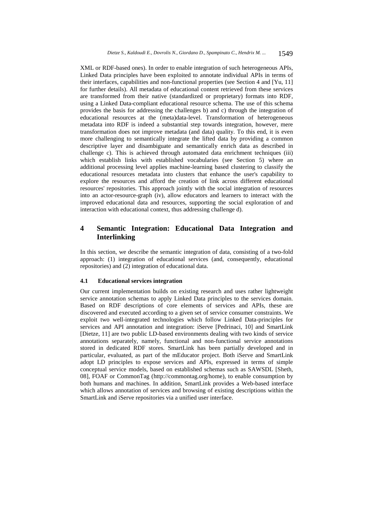XML or RDF-based ones). In order to enable integration of such heterogeneous APIs, Linked Data principles have been exploited to annotate individual APIs in terms of their interfaces, capabilities and non-functional properties (see Section 4 and [Yu, 11] for further details). All metadata of educational content retrieved from these services are transformed from their native (standardized or proprietary) formats into RDF, using a Linked Data-compliant educational resource schema. The use of this schema provides the basis for addressing the challenges b) and c) through the integration of educational resources at the (meta)data-level. Transformation of heterogeneous metadata into RDF is indeed a substantial step towards integration, however, mere transformation does not improve metadata (and data) quality. To this end, it is even more challenging to semantically integrate the lifted data by providing a common descriptive layer and disambiguate and semantically enrich data as described in challenge c). This is achieved through automated data enrichment techniques (iii) which establish links with established vocabularies (see Section 5) where an additional processing level applies machine-learning based clustering to classify the educational resources metadata into clusters that enhance the user's capability to explore the resources and afford the creation of link across different educational resources' repositories. This approach jointly with the social integration of resources into an actor-resource-graph (iv), allow educators and learners to interact with the improved educational data and resources, supporting the social exploration of and interaction with educational context, thus addressing challenge d).

# **4 Semantic Integration: Educational Data Integration and Interlinking**

In this section, we describe the semantic integration of data, consisting of a two-fold approach: (1) integration of educational services (and, consequently, educational repositories) and (2) integration of educational data.

## **4.1 Educational services integration**

Our current implementation builds on existing research and uses rather lightweight service annotation schemas to apply Linked Data principles to the services domain. Based on RDF descriptions of core elements of services and APIs, these are discovered and executed according to a given set of service consumer constraints. We exploit two well-integrated technologies which follow Linked Data-principles for services and API annotation and integration: iServe [Pedrinaci, 10] and SmartLink [Dietze, 11] are two public LD-based environments dealing with two kinds of service annotations separately, namely, functional and non-functional service annotations stored in dedicated RDF stores. SmartLink has been partially developed and in particular, evaluated, as part of the mEducator project. Both iServe and SmartLink adopt LD principles to expose services and APIs, expressed in terms of simple conceptual service models, based on established schemas such as SAWSDL [Sheth, 08], FOAF or CommonTag (http://commontag.org/home), to enable consumption by both humans and machines. In addition, SmartLink provides a Web-based interface which allows annotation of services and browsing of existing descriptions within the SmartLink and iServe repositories via a unified user interface.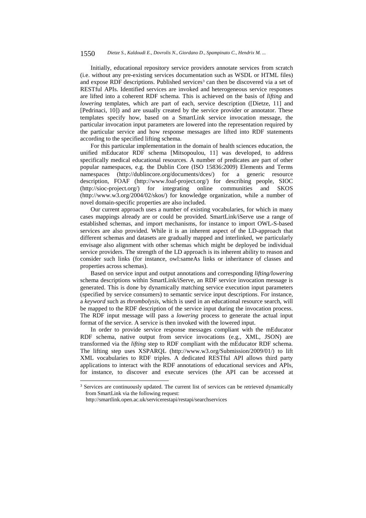#### 1550 *Dietze S., Kaldoudi E., Dovrolis N., Giordano D., Spampinato C., Hendrix M. ...*

Initially, educational repository service providers annotate services from scratch (i.e. without any pre-existing services documentation such as WSDL or HTML files) and expose RDF descriptions. Published services<sup>3</sup> can then be discovered via a set of RESTful APIs. Identified services are invoked and heterogeneous service responses are lifted into a coherent RDF schema. This is achieved on the basis of *lifting* and *lowering* templates, which are part of each, service description ([Dietze, 11] and [Pedrinaci, 10]) and are usually created by the service provider or annotator. These templates specify how, based on a SmartLink service invocation message, the particular invocation input parameters are lowered into the representation required by the particular service and how response messages are lifted into RDF statements according to the specified lifting schema.

For this particular implementation in the domain of health sciences education, the unified mEducator RDF schema [Mitsopoulou, 11] was developed, to address specifically medical educational resources. A number of predicates are part of other popular namespaces, e.g. the Dublin Core (ISO 15836:2009) Elements and Terms namespaces (http://dublincore.org/documents/dces/) for a generic resource description, FOAF (http://www.foaf-project.org/) for describing people, SIOC (http://sioc-project.org/) for integrating online communities and SKOS (http://www.w3.org/2004/02/skos/) for knowledge organization, while a number of novel domain-specific properties are also included.

Our current approach uses a number of existing vocabularies, for which in many cases mappings already are or could be provided. SmartLink/iServe use a range of established schemas, and import mechanisms, for instance to import OWL-S-based services are also provided. While it is an inherent aspect of the LD-approach that different schemas and datasets are gradually mapped and interlinked, we particularly envisage also alignment with other schemas which might be deployed be individual service providers. The strength of the LD approach is its inherent ability to reason and consider such links (for instance, owl:sameAs links or inheritance of classes and properties across schemas).

Based on service input and output annotations and corresponding *lifting/lowering* schema descriptions within SmartLink/iServe, an RDF service invocation message is generated. This is done by dynamically matching service execution input parameters (specified by service consumers) to semantic service input descriptions. For instance, a *keyword* such as *thrombolysis*, which is used in an educational resource search, will be mapped to the RDF description of the service input during the invocation process. The RDF input message will pass a *lowering* process to generate the actual input format of the service. A service is then invoked with the lowered input.

In order to provide service response messages compliant with the mEducator RDF schema, native output from service invocations (e.g., XML, JSON) are transformed via the *lifting* step to RDF compliant with the mEducator RDF schema. The lifting step uses XSPARQL (http://www.w3.org/Submission/2009/01/) to lift XML vocabularies to RDF triples. A dedicated RESTful API allows third party applications to interact with the RDF annotations of educational services and APIs, for instance, to discover and execute services (the API can be accessed at

l

<sup>&</sup>lt;sup>3</sup> Services are continuously updated. The current list of services can be retrieved dynamically from SmartLink via the following request:

http://smartlink.open.ac.uk/servicerestapi/restapi/searchservices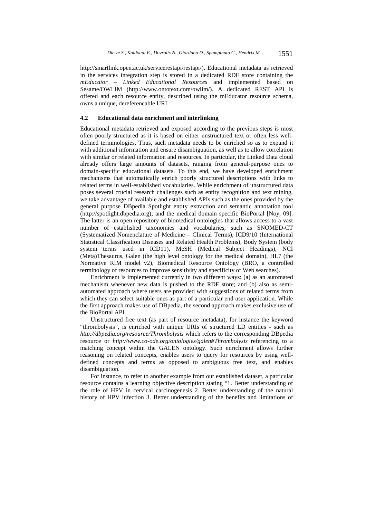http://smartlink.open.ac.uk/servicerestapi/restapi/). Educational metadata as retrieved in the services integration step is stored in a dedicated RDF store containing the *mEducator – Linked Educational Resources* and implemented based on Sesame/OWLIM (http://www.ontotext.com/owlim/). A dedicated REST API is offered and each resource entity, described using the mEducator resource schema, owns a unique, dereferencable URI.

## **4.2 Educational data enrichment and interlinking**

Educational metadata retrieved and exposed according to the previous steps is most often poorly structured as it is based on either unstructured text or often less welldefined terminologies. Thus, such metadata needs to be enriched so as to expand it with additional information and ensure disambiguation, as well as to allow correlation with similar or related information and resources. In particular, the Linked Data cloud already offers large amounts of datasets, ranging from general-purpose ones to domain-specific educational datasets. To this end, we have developed enrichment mechanisms that automatically enrich poorly structured descriptions with links to related terms in well-established vocabularies. While enrichment of unstructured data poses several crucial research challenges such as entity recognition and text mining, we take advantage of available and established APIs such as the ones provided by the general purpose DBpedia Spotlight entity extraction and semantic annotation tool (http://spotlight.dbpedia.org); and the medical domain specific BioPortal [Noy, 09]. The latter is an open repository of biomedical ontologies that allows access to a vast number of established taxonomies and vocabularies, such as SNOMED-CT (Systematized Nomenclature of Medicine – Clinical Terms), ICD9/10 (International Statistical Classification Diseases and Related Health Problems), Body System (body system terms used in ICD11), MeSH (Medical Subject Headings), NCI (Meta)Thesaurus, Galen (the high level ontology for the medical domain), HL7 (the Normative RIM model v2), Biomedical Resource Ontology (BRO, a controlled terminology of resources to improve sensitivity and specificity of Web searches).

Enrichment is implemented currently in two different ways: (a) as an automated mechanism whenever new data is pushed to the RDF store; and (b) also as semiautomated approach where users are provided with suggestions of related terms from which they can select suitable ones as part of a particular end user application. While the first approach makes use of DBpedia, the second approach makes exclusive use of the BioPortal API.

Unstructured free text (as part of resource metadata), for instance the keyword "thrombolysis", is enriched with unique URIs of structured LD entities - such as *http://dbpedia.org/resource/Thrombolysis* which refers to the corresponding DBpedia resource or *http://www.co-ode.org/ontologies/galen#Thrombolysis* referencing to a matching concept within the GALEN ontology. Such enrichment allows further reasoning on related concepts, enables users to query for resources by using welldefined concepts and terms as opposed to ambiguous free text, and enables disambiguation.

For instance, to refer to another example from our established dataset, a particular resource contains a learning objective description stating "1. Better understanding of the role of HPV in cervical carcinogenesis 2. Better understanding of the natural history of HPV infection 3. Better understanding of the benefits and limitations of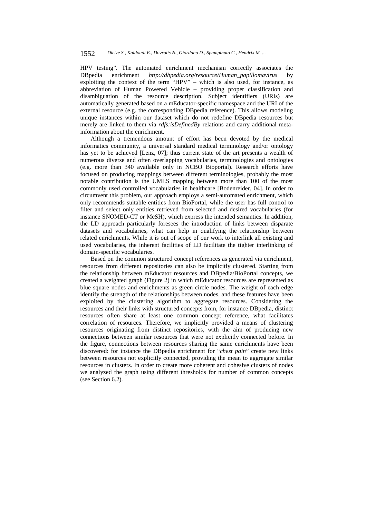HPV testing". The automated enrichment mechanism correctly associates the DBpedia enrichment *http://dbpedia.org/resource/Human\_papillomavirus* by exploiting the context of the term "HPV" – which is also used, for instance, as abbreviation of Human Powered Vehicle – providing proper classification and disambiguation of the resource description. Subject identifiers (URIs) are automatically generated based on a mEducator-specific namespace and the URI of the external resource (e.g. the corresponding DBpedia reference). This allows modeling unique instances within our dataset which do not redefine DBpedia resources but merely are linked to them via *rdfs:isDefinedBy* relations and carry additional metainformation about the enrichment.

Although a tremendous amount of effort has been devoted by the medical informatics community, a universal standard medical terminology and/or ontology has yet to be achieved [Lenz, 07]; thus current state of the art presents a wealth of numerous diverse and often overlapping vocabularies, terminologies and ontologies (e.g. more than 340 available only in NCBO Bioportal). Research efforts have focused on producing mappings between different terminologies, probably the most notable contribution is the UMLS mapping between more than 100 of the most commonly used controlled vocabularies in healthcare [Bodenreider, 04]. In order to circumvent this problem, our approach employs a semi-automated enrichment, which only recommends suitable entities from BioPortal, while the user has full control to filter and select only entities retrieved from selected and desired vocabularies (for instance SNOMED-CT or MeSH), which express the intended semantics. In addition, the LD approach particularly foresees the introduction of links between disparate datasets and vocabularies, what can help in qualifying the relationship between related enrichments. While it is out of scope of our work to interlink all existing and used vocabularies, the inherent facilities of LD facilitate the tighter interlinking of domain-specific vocabularies.

Based on the common structured concept references as generated via enrichment, resources from different repositories can also be implicitly clustered. Starting from the relationship between mEducator resources and DBpedia/BioPortal concepts, we created a weighted graph (Figure 2) in which mEducator resources are represented as blue square nodes and enrichments as green circle nodes. The weight of each edge identify the strength of the relationships between nodes, and these features have been exploited by the clustering algorithm to aggregate resources. Considering the resources and their links with structured concepts from, for instance DBpedia, distinct resources often share at least one common concept reference, what facilitates correlation of resources. Therefore, we implicitly provided a means of clustering resources originating from distinct repositories, with the aim of producing new connections between similar resources that were not explicitly connected before. In the figure, connections between resources sharing the same enrichments have been discovered: for instance the DBpedia enrichment for "*chest pain*" create new links between resources not explicitly connected, providing the mean to aggregate similar resources in clusters. In order to create more coherent and cohesive clusters of nodes we analyzed the graph using different thresholds for number of common concepts (see Section 6.2).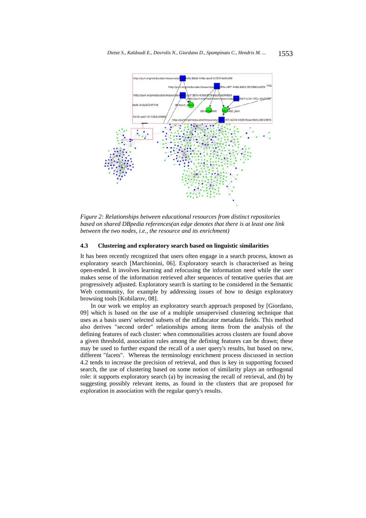

*Figure 2: Relationships between educational resources from distinct repositories based on shared DBpedia references(an edge denotes that there is at least one link between the two nodes, i.e., the resource and its enrichment)* 

## **4.3 Clustering and exploratory search based on linguistic similarities**

It has been recently recognized that users often engage in a search process, known as exploratory search [Marchionini, 06]. Exploratory search is characterised as being open-ended. It involves learning and refocusing the information need while the user makes sense of the information retrieved after sequences of tentative queries that are progressively adjusted. Exploratory search is starting to be considered in the Semantic Web community, for example by addressing issues of how to design exploratory browsing tools [Kobilarov, 08].

In our work we employ an exploratory search approach proposed by [Giordano, 09] which is based on the use of a multiple unsupervised clustering technique that uses as a basis users' selected subsets of the mEducator metadata fields. This method also derives "second order" relationships among items from the analysis of the defining features of each cluster: when commonalities across clusters are found above a given threshold, association rules among the defining features can be drawn; these may be used to further expand the recall of a user query's results, but based on new, different "facets". Whereas the terminology enrichment process discussed in section 4.2 tends to increase the precision of retrieval, and thus is key in supporting focused search, the use of clustering based on some notion of similarity plays an orthogonal role: it supports exploratory search (a) by increasing the recall of retrieval, and (b) by suggesting possibly relevant items, as found in the clusters that are proposed for exploration in association with the regular query's results.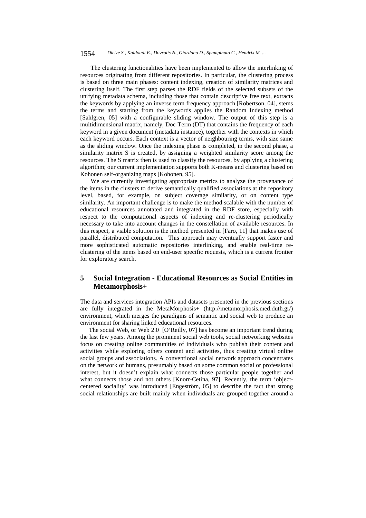#### 1554 *Dietze S., Kaldoudi E., Dovrolis N., Giordano D., Spampinato C., Hendrix M. ...*

The clustering functionalities have been implemented to allow the interlinking of resources originating from different repositories. In particular, the clustering process is based on three main phases: content indexing, creation of similarity matrices and clustering itself. The first step parses the RDF fields of the selected subsets of the unifying metadata schema, including those that contain descriptive free text, extracts the keywords by applying an inverse term frequency approach [Robertson, 04], stems the terms and starting from the keywords applies the Random Indexing method [Sahlgren, 05] with a configurable sliding window. The output of this step is a multidimensional matrix, namely, Doc-Term (DT) that contains the frequency of each keyword in a given document (metadata instance), together with the contexts in which each keyword occurs. Each context is a vector of neighbouring terms, with size same as the sliding window. Once the indexing phase is completed, in the second phase, a similarity matrix S is created, by assigning a weighted similarity score among the resources. The S matrix then is used to classify the resources, by applying a clustering algorithm; our current implementation supports both K-means and clustering based on Kohonen self-organizing maps [Kohonen, 95].

We are currently investigating appropriate metrics to analyze the provenance of the items in the clusters to derive semantically qualified associations at the repository level, based, for example, on subject coverage similarity, or on content type similarity. An important challenge is to make the method scalable with the number of educational resources annotated and integrated in the RDF store, especially with respect to the computational aspects of indexing and re-clustering periodically necessary to take into account changes in the constellation of available resources. In this respect, a viable solution is the method presented in [Faro, 11] that makes use of parallel, distributed computation. This approach may eventually support faster and more sophisticated automatic repositories interlinking, and enable real-time reclustering of the items based on end-user specific requests, which is a current frontier for exploratory search.

# **5 Social Integration - Educational Resources as Social Entities in Metamorphosis+**

The data and services integration APIs and datasets presented in the previous sections are fully integrated in the MetaMorphosis+ (http://metamorphosis.med.duth.gr/) environment, which merges the paradigms of semantic and social web to produce an environment for sharing linked educational resources.

The social Web, or Web 2.0 [O'Reilly, 07] has become an important trend during the last few years. Among the prominent social web tools, social networking websites focus on creating online communities of individuals who publish their content and activities while exploring others content and activities, thus creating virtual online social groups and associations. A conventional social network approach concentrates on the network of humans, presumably based on some common social or professional interest, but it doesn't explain what connects those particular people together and what connects those and not others [Knorr-Cetina, 97]. Recently, the term 'objectcentered sociality' was introduced [Engeström, 05] to describe the fact that strong social relationships are built mainly when individuals are grouped together around a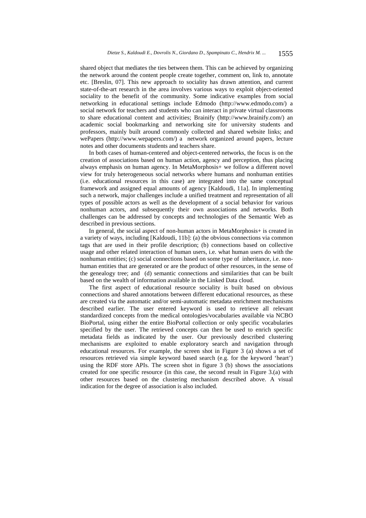shared object that mediates the ties between them. This can be achieved by organizing the network around the content people create together, comment on, link to, annotate etc. [Breslin, 07]. This new approach to sociality has drawn attention, and current state-of-the-art research in the area involves various ways to exploit object-oriented sociality to the benefit of the community. Some indicative examples from social networking in educational settings include Edmodo (http://www.edmodo.com/) a social network for teachers and students who can interact in private virtual classrooms to share educational content and activities; Brainify (http://www.brainify.com/) an academic social bookmarking and networking site for university students and professors, mainly built around commonly collected and shared website links; and wePapers (http://www.wepapers.com/) a network organized around papers, lecture notes and other documents students and teachers share.

In both cases of human-centered and object-centered networks, the focus is on the creation of associations based on human action, agency and perception, thus placing always emphasis on human agency. In MetaMorphosis+ we follow a different novel view for truly heterogeneous social networks where humans and nonhuman entities (i.e. educational resources in this case) are integrated into the same conceptual framework and assigned equal amounts of agency [Kaldoudi, 11a]. In implementing such a network, major challenges include a unified treatment and representation of all types of possible actors as well as the development of a social behavior for various nonhuman actors, and subsequently their own associations and networks. Both challenges can be addressed by concepts and technologies of the Semantic Web as described in previous sections.

In general, the social aspect of non-human actors in MetaMorphosis+ is created in a variety of ways, including [Kaldoudi, 11b]: (a) the obvious connections via common tags that are used in their profile description; (b) connections based on collective usage and other related interaction of human users, i.e. what human users do with the nonhuman entities; (c) social connections based on some type of inheritance, i.e. nonhuman entities that are generated or are the product of other resources, in the sense of the genealogy tree; and (d) semantic connections and similarities that can be built based on the wealth of information available in the Linked Data cloud.

The first aspect of educational resource sociality is built based on obvious connections and shared annotations between different educational resources, as these are created via the automatic and/or semi-automatic metadata enrichment mechanisms described earlier. The user entered keyword is used to retrieve all relevant standardized concepts from the medical ontologies/vocabularies available via NCBO BioPortal, using either the entire BioPortal collection or only specific vocabularies specified by the user. The retrieved concepts can then be used to enrich specific metadata fields as indicated by the user. Our previously described clustering mechanisms are exploited to enable exploratory search and navigation through educational resources. For example, the screen shot in Figure 3 (a) shows a set of resources retrieved via simple keyword based search (e.g. for the keyword 'heart') using the RDF store APIs. The screen shot in figure 3 (b) shows the associations created for one specific resource (in this case, the second result in Figure 3.(a) with other resources based on the clustering mechanism described above. A visual indication for the degree of association is also included.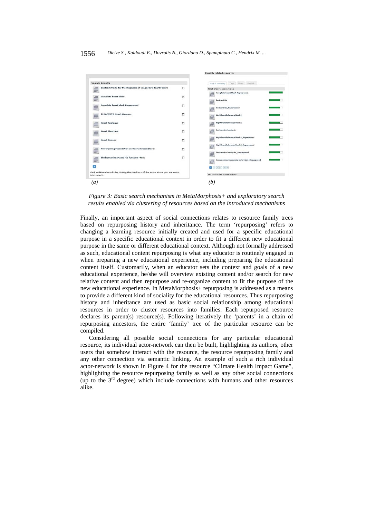

*Figure 3: Basic search mechanism in MetaMorphosis+ and exploratory search results enabled via clustering of resources based on the introduced mechanisms* 

Finally, an important aspect of social connections relates to resource family trees based on repurposing history and inheritance. The term 'repurposing' refers to changing a learning resource initially created and used for a specific educational purpose in a specific educational context in order to fit a different new educational purpose in the same or different educational context. Although not formally addressed as such, educational content repurposing is what any educator is routinely engaged in when preparing a new educational experience, including preparing the educational content itself. Customarily, when an educator sets the context and goals of a new educational experience, he/she will overview existing content and/or search for new relative content and then repurpose and re-organize content to fit the purpose of the new educational experience. In MetaMorphosis+ repurposing is addressed as a means to provide a different kind of sociality for the educational resources. Thus repurposing history and inheritance are used as basic social relationship among educational resources in order to cluster resources into families. Each repurposed resource declares its parent(s) resource(s). Following iteratively the 'parents' in a chain of repurposing ancestors, the entire 'family' tree of the particular resource can be compiled.

Considering all possible social connections for any particular educational resource, its individual actor-network can then be built, highlighting its authors, other users that somehow interact with the resource, the resource repurposing family and any other connection via semantic linking. An example of such a rich individual actor-network is shown in Figure 4 for the resource "Climate Health Impact Game", highlighting the resource repurposing family as well as any other social connections (up to the  $3<sup>rd</sup>$  degree) which include connections with humans and other resources alike.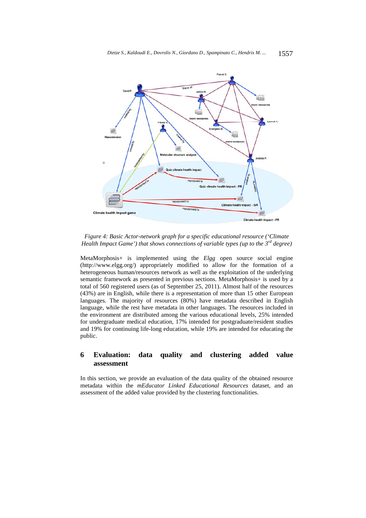

*Figure 4: Basic Actor-network graph for a specific educational resource ('Climate Health Impact Game') that shows connections of variable types (up to the 3rd degree)* 

MetaMorphosis+ is implemented using the *Elgg* open source social engine (http://www.elgg.org/) appropriately modified to allow for the formation of a heterogeneous human/resources network as well as the exploitation of the underlying semantic framework as presented in previous sections. MetaMorphosis+ is used by a total of 560 registered users (as of September 25, 2011). Almost half of the resources (43%) are in English, while there is a representation of more than 15 other European languages. The majority of resources (80%) have metadata described in English language, while the rest have metadata in other languages. The resources included in the environment are distributed among the various educational levels, 25% intended for undergraduate medical education, 17% intended for postgraduate/resident studies and 19% for continuing life-long education, while 19% are intended for educating the public.

# **6 Evaluation: data quality and clustering added value assessment**

In this section, we provide an evaluation of the data quality of the obtained resource metadata within the *mEducator Linked Educational Resources* dataset, and an assessment of the added value provided by the clustering functionalities.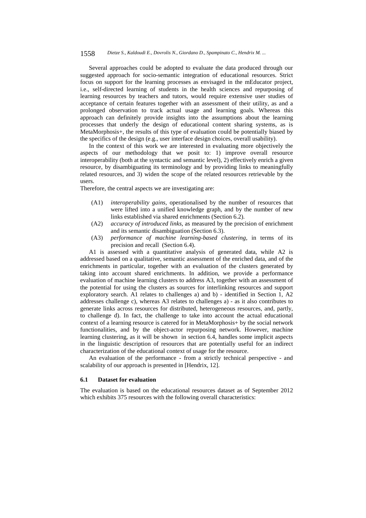#### 1558 *Dietze S., Kaldoudi E., Dovrolis N., Giordano D., Spampinato C., Hendrix M. ...*

Several approaches could be adopted to evaluate the data produced through our suggested approach for socio-semantic integration of educational resources. Strict focus on support for the learning processes as envisaged in the mEducator project, i.e., self-directed learning of students in the health sciences and repurposing of learning resources by teachers and tutors, would require extensive user studies of acceptance of certain features together with an assessment of their utility, as and a prolonged observation to track actual usage and learning goals. Whereas this approach can definitely provide insights into the assumptions about the learning processes that underly the design of educational content sharing systems, as is MetaMorphosis+, the results of this type of evaluation could be potentially biased by the specifics of the design (e.g., user interface design choices, overall usability).

In the context of this work we are interested in evaluating more objectively the aspects of our methodology that we posit to: 1) improve overall resource interoperability (both at the syntactic and semantic level), 2) effectively enrich a given resource, by disambiguating its terminology and by providing links to meaningfully related resources, and 3) widen the scope of the related resources retrievable by the users.

Therefore, the central aspects we are investigating are:

- (A1) *interoperability gains*, operationalised by the number of resources that were lifted into a unified knowledge graph, and by the number of new links established via shared enrichments (Section 6.2).
- (A2) *accuracy of introduced links*, as measured by the precision of enrichment and its semantic disambiguation (Section 6.3).
- (A3) *performance of machine learning-based clustering*, in terms of its precision and recall (Section 6.4).

A1 is assessed with a quantitative analysis of generated data, while A2 is addressed based on a qualitative, semantic assessment of the enriched data, and of the enrichments in particular, together with an evaluation of the clusters generated by taking into account shared enrichments. In addition, we provide a performance evaluation of machine learning clusters to address A3, together with an assessment of the potential for using the clusters as sources for interlinking resources and support exploratory search. A1 relates to challenges a) and b) - identified in Section 1, A2 addresses challenge c), whereas A3 relates to challenges a) - as it also contributes to generate links across resources for distributed, heterogeneous resources, and, partly, to challenge d). In fact, the challenge to take into account the actual educational context of a learning resource is catered for in MetaMorphosis+ by the social network functionalities, and by the object-actor repurposing network. However, machine learning clustering, as it will be shown in section 6.4, handles some implicit aspects in the linguistic description of resources that are potentially useful for an indirect characterization of the educational context of usage for the resource.

An evaluation of the performance - from a strictly technical perspective - and scalability of our approach is presented in [Hendrix, 12].

## **6.1 Dataset for evaluation**

The evaluation is based on the educational resources dataset as of September 2012 which exhibits 375 resources with the following overall characteristics: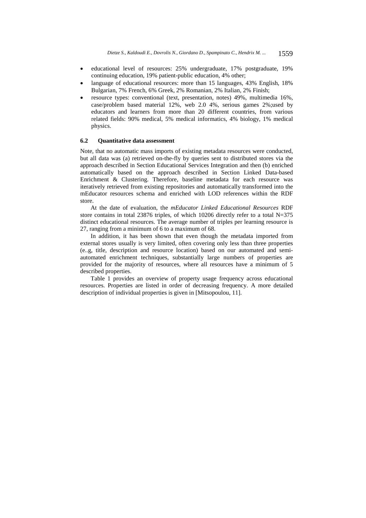- educational level of resources: 25% undergraduate, 17% postgraduate, 19% continuing education, 19% patient-public education, 4% other;
- language of educational resources: more than 15 languages, 43% English, 18% Bulgarian, 7% French, 6% Greek, 2% Romanian, 2% Italian, 2% Finish;
- resource types: conventional (text, presentation, notes) 49%, multimedia 16%, case/problem based material 12%, web 2.0 4%, serious games 2%;used by educators and learners from more than 20 different countries, from various related fields: 90% medical, 5% medical informatics, 4% biology, 1% medical physics.

## **6.2 Quantitative data assessment**

Note, that no automatic mass imports of existing metadata resources were conducted, but all data was (a) retrieved on-the-fly by queries sent to distributed stores via the approach described in Section Educational Services Integration and then (b) enriched automatically based on the approach described in Section Linked Data-based Enrichment & Clustering. Therefore, baseline metadata for each resource was iteratively retrieved from existing repositories and automatically transformed into the mEducator resources schema and enriched with LOD references within the RDF store.

At the date of evaluation, the *mEducator Linked Educational Resources* RDF store contains in total 23876 triples, of which 10206 directly refer to a total N=375 distinct educational resources. The average number of triples per learning resource is 27, ranging from a minimum of 6 to a maximum of 68.

In addition, it has been shown that even though the metadata imported from external stores usually is very limited, often covering only less than three properties (e..g, title, description and resource location) based on our automated and semiautomated enrichment techniques, substantially large numbers of properties are provided for the majority of resources, where all resources have a minimum of 5 described properties. Table 1 provides an overview of property usage frequency across educational

resources. Properties are listed in order of decreasing frequency. A more detailed description of individual properties is given in [Mitsopoulou, 11].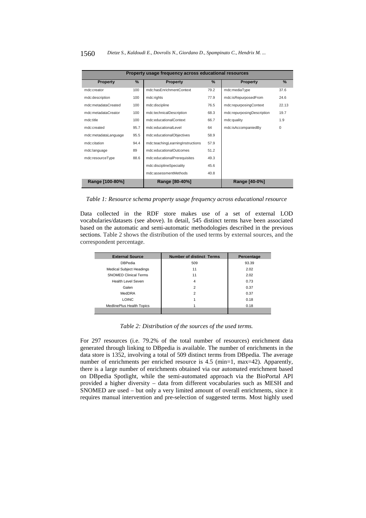| Property usage frequency across educational resources |      |                                  |               |                            |               |  |
|-------------------------------------------------------|------|----------------------------------|---------------|----------------------------|---------------|--|
| Property                                              | $\%$ | <b>Property</b>                  | $\frac{9}{6}$ | <b>Property</b>            | $\frac{9}{6}$ |  |
| mdc:creator                                           | 100  | mdc:hasEnrichmentContext         | 79.2          | mdc:mediaType              | 37.6          |  |
| mdc:description                                       | 100  | mdc:rights                       | 77.9          | mdc:isRepurposedFrom       | 24.6          |  |
| mdc:metadataCreated                                   | 100  | mdc:discipline                   | 76.5          | mdc:repurposingContext     | 22.13         |  |
| mdc:metadataCreator                                   | 100  | mdc:technicalDescription         | 68.3          | mdc:repurposingDescription | 19.7          |  |
| mdc:title                                             | 100  | mdc:educationalContext           | 66.7          | mdc:quality                | 1.9           |  |
| mdc:created                                           | 95.7 | mdc:educationalLevel             | 64            | mdc:isAccompaniedBy        | 0             |  |
| mdc:metadataLanguage                                  | 95.5 | mdc:educationalObjectives        | 58.9          |                            |               |  |
| mdc:citation                                          | 94.4 | mdc:teachingLearningInstructions | 57.9          |                            |               |  |
| mdc:language                                          | 89   | mdc: educationalOutcomes         | 51.2          |                            |               |  |
| mdc:resourceType                                      | 88.6 | mdc:educationalPrerequisites     | 49.3          |                            |               |  |
|                                                       |      | mdc:disciplineSpeciality         | 45.6          |                            |               |  |
|                                                       |      | mdc:assessmentMethods            | 40.8          |                            |               |  |
| Range [100-80%]                                       |      | Range [80-40%]                   |               | Range [40-0%]              |               |  |

*Table 1: Resource schema property usage frequency across educational resource* 

Data collected in the RDF store makes use of a set of external LOD vocabularies/datasets (see above). In detail, 545 distinct terms have been associated based on the automatic and semi-automatic methodologies described in the previous sections. Table 2 shows the distribution of the used terms by external sources, and the correspondent percentage.

| <b>External Source</b>          | <b>Number of distinct Terms</b> | Percentage |  |  |
|---------------------------------|---------------------------------|------------|--|--|
| <b>DBPedia</b>                  | 509                             | 93.39      |  |  |
| <b>Medical Subject Headings</b> | 11                              | 2.02       |  |  |
| <b>SNOMED Clinical Terms</b>    | 11                              | 2.02       |  |  |
| Health Level Seven              | 4                               | 0.73       |  |  |
| Galen                           | $\overline{c}$                  | 0.37       |  |  |
| MedDRA                          | $\overline{c}$                  | 0.37       |  |  |
| <b>LOINC</b>                    |                                 | 0.18       |  |  |
| MedlinePlus Health Topics       |                                 | 0.18       |  |  |
|                                 |                                 |            |  |  |

*Table 2: Distribution of the sources of the used terms.* 

For 297 resources (i.e. 79.2% of the total number of resources) enrichment data generated through linking to DBpedia is available. The number of enrichments in the data store is 1352, involving a total of 509 distinct terms from DBpedia. The average number of enrichments per enriched resource is 4.5 (min=1, max=42). Apparently, there is a large number of enrichments obtained via our automated enrichment based on DBpedia Spotlight, while the semi-automated approach via the BioPortal API provided a higher diversity – data from different vocabularies such as MESH and SNOMED are used – but only a very limited amount of overall enrichments, since it requires manual intervention and pre-selection of suggested terms. Most highly used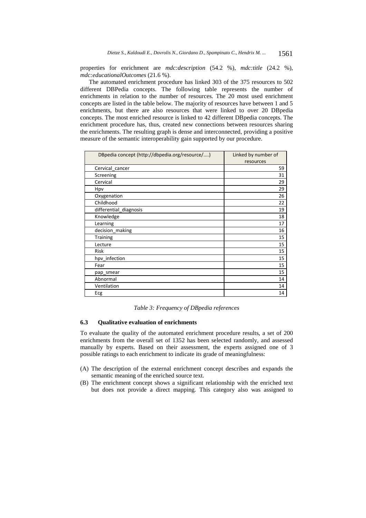properties for enrichment are *mdc:description* (54.2 %), *mdc:title* (24.2 %), *mdc:educationalOutcomes* (21.6 %).

The automated enrichment procedure has linked 303 of the 375 resources to 502 different DBPedia concepts. The following table represents the number of enrichments in relation to the number of resources. The 20 most used enrichment concepts are listed in the table below. The majority of resources have between 1 and 5 enrichments, but there are also resources that were linked to over 20 DBpedia concepts. The most enriched resource is linked to 42 different DBpedia concepts. The enrichment procedure has, thus, created new connections between resources sharing the enrichments. The resulting graph is dense and interconnected, providing a positive measure of the semantic interoperability gain supported by our procedure.

| DBpedia concept (http://dbpedia.org/resource/) | Linked by number of<br>resources |
|------------------------------------------------|----------------------------------|
| Cervical cancer                                | 59                               |
| Screening                                      | 31                               |
| Cervical                                       | 29                               |
| Hpv                                            | 29                               |
| Oxygenation                                    | 26                               |
| Childhood                                      | 22                               |
| differential_diagnosis                         | 19                               |
| Knowledge                                      | 18                               |
| Learning                                       | 17                               |
| decision_making                                | 16                               |
| <b>Training</b>                                | 15                               |
| Lecture                                        | 15                               |
| <b>Risk</b>                                    | 15                               |
| hpv infection                                  | 15                               |
| Fear                                           | 15                               |
| pap smear                                      | 15                               |
| Abnormal                                       | 14                               |
| Ventilation                                    | 14                               |
| Ecg                                            | 14                               |

*Table 3: Frequency of DBpedia references* 

### **6.3 Qualitative evaluation of enrichments**

To evaluate the quality of the automated enrichment procedure results, a set of 200 enrichments from the overall set of 1352 has been selected randomly, and assessed manually by experts. Based on their assessment, the experts assigned one of 3 possible ratings to each enrichment to indicate its grade of meaningfulness:

- (A) The description of the external enrichment concept describes and expands the semantic meaning of the enriched source text.
- (B) The enrichment concept shows a significant relationship with the enriched text but does not provide a direct mapping. This category also was assigned to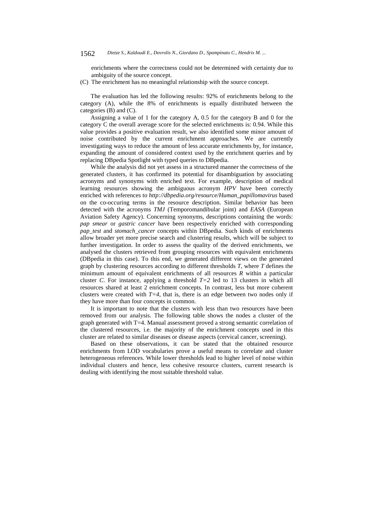#### 1562 *Dietze S., Kaldoudi E., Dovrolis N., Giordano D., Spampinato C., Hendrix M. ...*

enrichments where the correctness could not be determined with certainty due to ambiguity of the source concept.

(C) The enrichment has no meaningful relationship with the source concept.

The evaluation has led the following results: 92% of enrichments belong to the category (A), while the 8% of enrichments is equally distributed between the categories (B) and (C).

Assigning a value of 1 for the category A, 0.5 for the category B and 0 for the category C the overall average score for the selected enrichments is: 0.94. While this value provides a positive evaluation result, we also identified some minor amount of noise contributed by the current enrichment approaches. We are currently investigating ways to reduce the amount of less accurate enrichments by, for instance, expanding the amount of considered context used by the enrichment queries and by replacing DBpedia Spotlight with typed queries to DBpedia.

While the analysis did not yet assess in a structured manner the correctness of the generated clusters, it has confirmed its potential for disambiguation by associating acronyms and synonyms with enriched text. For example, description of medical learning resources showing the ambiguous acronym *HPV* have been correctly enriched with references to *http://dbpedia.org/resource/Human\_papillomavirus* based on the co-occuring terms in the resource description. Similar behavior has been detected with the acronyms *TMJ* (Temporomandibular joint) and *EASA* (European Aviation Safety Agency). Concerning synonyms, descriptions containing the words: *pap smear* or *gastric cancer* have been respectively enriched with corresponding *pap\_test* and *stomach\_cancer* concepts within DBpedia. Such kinds of enrichments allow broader yet more precise search and clustering results, which will be subject to further investigation. In order to assess the quality of the derived enrichments, we analysed the clusters retrieved from grouping resources with equivalent enrichments (DBpedia in this case). To this end, we generated different views on the generated graph by clustering resources according to different thresholds *T*, where *T* defines the minimum amount of equivalent enrichments of all resources *R* within a particular cluster *C*. For instance, applying a threshold  $T=2$  led to 13 clusters in which all resources shared at least 2 enrichment concepts. In contrast, less but more coherent clusters were created with  $T=4$ , that is, there is an edge between two nodes only if they have more than four concepts in common.

It is important to note that the clusters with less than two resources have been removed from our analysis. The following table shows the nodes a cluster of the graph generated with T=4. Manual assessment proved a strong semantic correlation of the clustered resources, i.e. the majority of the enrichment concepts used in this cluster are related to similar diseases or disease aspects (cervical cancer, screening).

Based on these observations, it can be stated that the obtained resource enrichments from LOD vocabularies prove a useful means to correlate and cluster heterogeneous references. While lower thresholds lead to higher level of noise within individual clusters and hence, less cohesive resource clusters, current research is dealing with identifying the most suitable threshold value.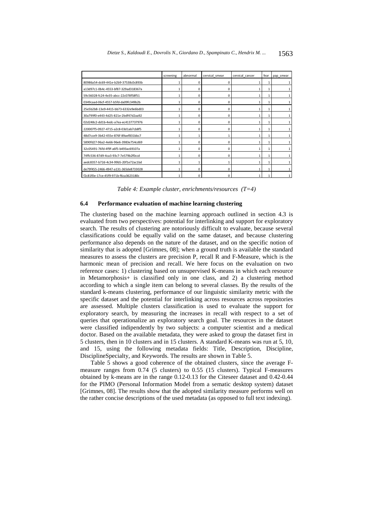|                                      | screening | abnormal | cervical smear | cervical cancer | fear | pap smear |
|--------------------------------------|-----------|----------|----------------|-----------------|------|-----------|
| 80986a54-dc69-441e-b2b9-37538c0c893b |           | n        | 0              |                 |      |           |
| a13d97c1-0b4c-4553-bf87-329ad318367a |           | n        | $\Omega$       |                 | 1    |           |
| 59c56028-fc24-4e35-abcc-22c078f58f51 |           | n        | 0              |                 | 1    | 1         |
| 0349caad-06cf-4557-b5fd-da09fc349b2b | 1         | $\Omega$ | 0              |                 | 1    |           |
| 25e5b2b8-13e9-4415-bb73-6332e9e6bd03 |           | $\Omega$ | $\Omega$       |                 |      | 1         |
| 30a799f0-e443-4d25-821e-2bdf47d2aa92 |           | n        | $\Omega$       |                 | 1    | 1         |
| 02d248c2-dd1b-4edc-a7ea-ec4137737976 |           | $\Omega$ | 0              |                 | 1    |           |
| 220007f5-0927-4715-a2c8-03d1ab7cb8f5 |           | n        | $\Omega$       |                 |      |           |
| 48d7cce9-3b42-455e-876f-89aef831bbc7 |           |          |                |                 | 1    | 1         |
| 5890fd27-96a2-4e66-96e6-3983e754cd69 | 1         | $\Omega$ | $\Omega$       |                 | 1    | 1         |
| 32c05491-76fd-4f9f-a6f5-b493ac69107a |           | $\Omega$ | $\Omega$       |                 | 1    | 1         |
| 74ffc536-87d9-4ca3-93c7-7e579b2f0ccd |           | n        | $\Omega$       |                 |      |           |
| aedc8357-b72d-4c34-99b5-20f1e72ac1bd |           |          |                |                 | 1    | 1         |
| de79f455-2466-4947-a131-365de8733028 |           | $\Omega$ | $\Omega$       |                 | 1    | 1         |
| f2c81f0e-17ce-45f9-971b-f6ca3623180c |           | n        | $\Omega$       |                 |      | 1         |

*Table 4: Example cluster, enrichments/resources (T=4)*

### **6.4 Performance evaluation of machine learning clustering**

The clustering based on the machine learning approach outlined in section 4.3 is evaluated from two perspectives: potential for interlinking and support for exploratory search. The results of clustering are notoriously difficult to evaluate, because several classifications could be equally valid on the same dataset, and because clustering performance also depends on the nature of the dataset, and on the specific notion of similarity that is adopted [Grimnes, 08]; when a ground truth is available the standard measures to assess the clusters are precision P, recall R and F-Measure, which is the harmonic mean of precision and recall. We here focus on the evaluation on two reference cases: 1) clustering based on unsupervised K-means in which each resource in Metamorphosis+ is classified only in one class, and 2) a clustering method according to which a single item can belong to several classes. By the results of the standard k-means clustering, performance of our linguistic similarity metric with the specific dataset and the potential for interlinking across resources across repositories are assessed. Multiple clusters classification is used to evaluate the support for exploratory search, by measuring the increases in recall with respect to a set of queries that operationalize an exploratory search goal. The resources in the dataset were classified indipendently by two subjects: a computer scientist and a medical doctor. Based on the available metadata, they were asked to group the dataset first in 5 clusters, then in 10 clusters and in 15 clusters. A standard K-means was run at 5, 10, and 15, using the following metadata fields: Title, Description, Discipline, DisciplineSpecialty, and Keywords. The results are shown in Table 5.

Table 5 shows a good coherence of the obtained clusters, since the average Fmeasure ranges from 0.74 (5 clusters) to 0.55 (15 clusters). Typical F-measures obtained by k-means are in the range 0.12-0.13 for the Citeseer dataset and 0.42-0.44 for the PIMO (Personal Information Model from a sematic desktop system) dataset [Grimnes, 08]. The results show that the adopted similarity measure performs well on the rather concise descriptions of the used metadata (as opposed to full text indexing).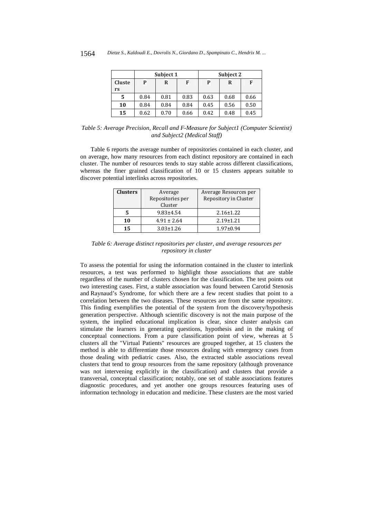|              |      | Subject 1 |      |      | Subject 2 |      |
|--------------|------|-----------|------|------|-----------|------|
| Cluste<br>rs | P    | R         | F    | P    | R         | F    |
| .5           | 0.84 | 0.81      | 0.83 | 0.63 | 0.68      | 0.66 |
| 10           | 0.84 | 0.84      | 0.84 | 0.45 | 0.56      | 0.50 |
| 15           | 0.62 | 0.70      | 0.66 | 0.42 | 0.48      | 0.45 |

*Table 5: Average Precision, Recall and F-Measure for Subject1 (Computer Scientist) and Subject2 (Medical Staff)*

Table 6 reports the average number of repositories contained in each cluster, and on average, how many resources from each distinct repository are contained in each cluster. The number of resources tends to stay stable across different classifications, whereas the finer grained classification of 10 or 15 clusters appears suitable to discover potential interlinks across repositories.

| <b>Clusters</b> | Average<br>Repositories per<br>Cluster | Average Resources per<br>Repository in Cluster |
|-----------------|----------------------------------------|------------------------------------------------|
| 5               | $9.83 \pm 4.54$                        | $2.16 \pm 1.22$                                |
| 10              | $4.91 \pm 2.64$                        | $2.19 \pm 1.21$                                |
| 15              | $3.03 \pm 1.26$                        | $1.97 \pm 0.94$                                |

*Table 6: Average distinct repositories per cluster, and average resources per repository in cluster*

To assess the potential for using the information contained in the cluster to interlink resources, a test was performed to highlight those associations that are stable regardless of the number of clusters chosen for the classification. The test points out two interesting cases. First, a stable association was found between Carotid Stenosis and Raynaud's Syndrome, for which there are a few recent studies that point to a correlation between the two diseases. These resources are from the same repository. This finding exemplifies the potential of the system from the discovery/hypothesis generation perspective. Although scientific discovery is not the main purpose of the system, the implied educational implication is clear, since cluster analysis can stimulate the learners in generating questions, hypothesis and in the making of conceptual connections. From a pure classification point of view, whereas at 5 clusters all the "Virtual Patients" resources are grouped together, at 15 clusters the method is able to differentiate those resources dealing with emergency cases from those dealing with pediatric cases. Also, the extracted stable associations reveal clusters that tend to group resources from the same repository (although provenance was not intervening explicitly in the classification) and clusters that provide a transversal, conceptual classification; notably, one set of stable associations features diagnostic procedures, and yet another one groups resources featuring uses of information technology in education and medicine. These clusters are the most varied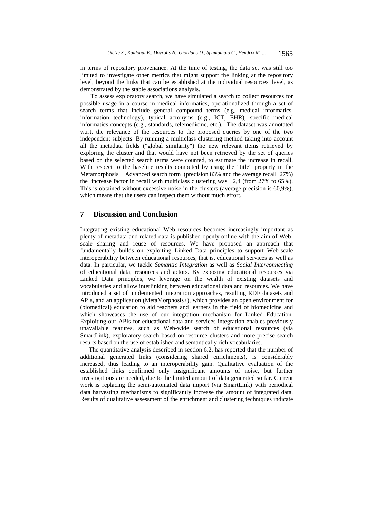in terms of repository provenance. At the time of testing, the data set was still too limited to investigate other metrics that might support the linking at the repository level, beyond the links that can be established at the individual resources' level, as demonstrated by the stable associations analysis.

To assess exploratory search, we have simulated a search to collect resources for possible usage in a course in medical informatics, operationalized through a set of search terms that include general compound terms (e.g. medical informatics, information technology), typical acronyms (e.g., ICT, EHR), specific medical informatics concepts (e.g., standards, telemedicine, etc.). The dataset was annotated w.r.t. the relevance of the resources to the proposed queries by one of the two independent subjects. By running a multiclass clustering method taking into account all the metadata fields ("global similarity") the new relevant items retrieved by exploring the cluster and that would have not been retrieved by the set of queries based on the selected search terms were counted, to estimate the increase in recall. With respect to the baseline results computed by using the "title" property in the Metamorphosis + Advanced search form (precision 83% and the average recall 27%) the increase factor in recall with multiclass clustering was 2,4 (from 27% to 65%). This is obtained without excessive noise in the clusters (average precision is 60,9%), which means that the users can inspect them without much effort.

# **7 Discussion and Conclusion**

Integrating existing educational Web resources becomes increasingly important as plenty of metadata and related data is published openly online with the aim of Webscale sharing and reuse of resources. We have proposed an approach that fundamentally builds on exploiting Linked Data principles to support Web-scale interoperability between educational resources, that is, educational services as well as data. In particular, we tackle *Semantic Integration* as well as *Social Interconnecting* of educational data, resources and actors. By exposing educational resources via Linked Data principles, we leverage on the wealth of existing datasets and vocabularies and allow interlinking between educational data and resources. We have introduced a set of implemented integration approaches, resulting RDF datasets and APIs, and an application (MetaMorphosis+), which provides an open environment for (biomedical) education to aid teachers and learners in the field of biomedicine and which showcases the use of our integration mechanism for Linked Education. Exploiting our APIs for educational data and services integration enables previously unavailable features, such as Web-wide search of educational resources (via SmartLink), exploratory search based on resource clusters and more precise search results based on the use of established and semantically rich vocabularies.

The quantitative analysis described in section 6.2, has reported that the number of additional generated links (considering shared enrichments), is considerably increased, thus leading to an interoperability gain. Qualitative evaluation of the established links confirmed only insignificant amounts of noise, but further investigations are needed, due to the limited amount of data generated so far. Current work is replacing the semi-automated data import (via SmartLink) with periodical data harvesting mechanisms to significantly increase the amount of integrated data. Results of qualitative assessment of the enrichment and clustering techniques indicate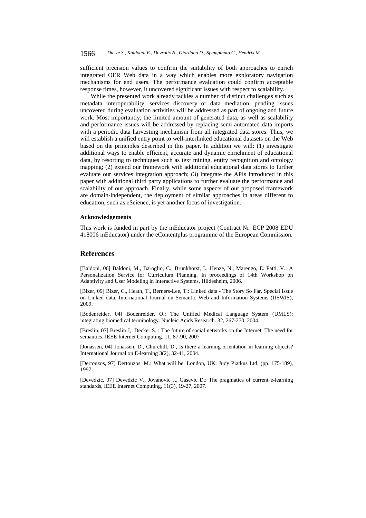sufficient precision values to confirm the suitability of both approaches to enrich integrated OER Web data in a way which enables more exploratory navigation mechanisms for end users. The performance evaluation could confirm acceptable response times, however, it uncovered significant issues with respect to scalability.

While the presented work already tackles a number of distinct challenges such as metadata interoperability, services discovery or data mediation, pending issues uncovered during evaluation activities will be addressed as part of ongoing and future work. Most importantly, the limited amount of generated data, as well as scalability and performance issues will be addressed by replacing semi-automated data imports with a periodic data harvesting mechanism from all integrated data stores. Thus, we will establish a unified entry point to well-interlinked educational datasets on the Web based on the principles described in this paper. In addition we will: (1) investigate additional ways to enable efficient, accurate and dynamic enrichment of educational data, by resorting to techniques such as text mining, entity recognition and ontology mapping; (2) extend our framework with additional educational data stores to further evaluate our services integration approach; (3) integrate the APIs introduced in this paper with additional third party applications to further evaluate the performance and scalability of our approach. Finally, while some aspects of our proposed framework are domain-independent, the deployment of similar approaches in areas different to education, such as eScience, is yet another focus of investigation.

#### **Acknowledgements**

This work is funded in part by the mEducator project (Contract Nr: ECP 2008 EDU 418006 mEducator) under the eContentplus programme of the European Commission.

## **References**

[Baldoni, 06] Baldoni, M., Baroglio, C., Brunkhorst, I., Henze, N., Marengo, E. Patti, V.: A Personalization Service for Curriculum Planning. In proceedings of 14th Workshop on Adaptivity and User Modeling in Interactive Systems, Hildesheim, 2006.

[Bizer, 09] Bizer, C., Heath, T., Berners-Lee, T.: Linked data - The Story So Far. Special Issue on Linked data, International Journal on Semantic Web and Information Systems (IJSWIS), 2009.

[Bodenreider, 04] Bodenreider, O.: The Unified Medical Language System (UMLS): integrating biomedical terminology. Nucleic Acids Research. 32, 267-270, 2004.

[Breslin, 07] Breslin J, Decker S. : The future of social networks on the Internet. The need for semantics. IEEE Internet Computing. 11, 87-90, 2007

[Jonassen, 04] Jonassen, D., Churchill, D., Is there a learning orientation in learning objects? International Journal on E-learning 3(2), 32-41, 2004.

[Dertouzos, 97] Dertouzos, M.: What will be. London, UK: Judy Piatkus Ltd. (pp. 175-189), 1997.

[Devedzic, 07] Devedzic V., Jovanovic J., Gasevic D.: The pragmatics of current e-learning standards, IEEE Internet Computing, 11(3), 19-27, 2007.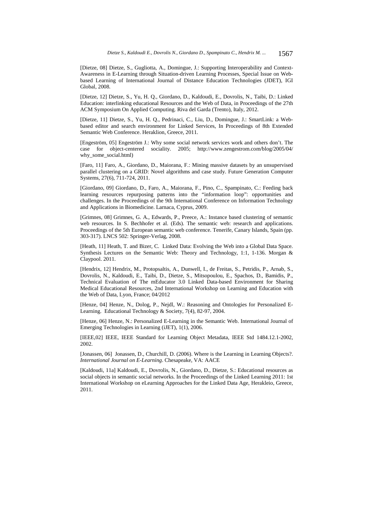[Dietze, 08] Dietze, S., Gugliotta, A., Domingue, J.: Supporting Interoperability and Context-Awareness in E-Learning through Situation-driven Learning Processes, Special Issue on Webbased Learning of International Journal of Distance Education Technologies (JDET), IGI Global, 2008.

[Dietze, 12] Dietze, S., Yu, H. Q., Giordano, D., Kaldoudi, E., Dovrolis, N., Taibi, D.: Linked Education: interlinking educational Resources and the Web of Data, in Proceedings of the 27th ACM Symposium On Applied Computing. Riva del Garda (Trento), Italy, 2012.

[Dietze, 11] Dietze, S., Yu, H. Q., Pedrinaci, C., Liu, D., Domingue, J.: SmartLink: a Webbased editor and search environment for Linked Services, In Proceedings of 8th Extended Semantic Web Conference. Heraklion, Greece, 2011.

[Engeström, 05] Engeström J.: Why some social network services work and others don't. The case for object-centered sociality. 2005; http://www.zengestrom.com/blog/2005/04/ why\_some\_social.html)

[Faro, 11] Faro, A., Giordano, D., Maiorana, F.: Mining massive datasets by an unsupervised parallel clustering on a GRID: Novel algorithms and case study. Future Generation Computer Systems, 27(6), 711-724, 2011.

[Giordano, 09] Giordano, D., Faro, A., Maiorana, F., Pino, C., Spampinato, C.: Feeding back learning resources repurposing patterns into the "information loop": opportunities and challenges. In the Proceedings of the 9th International Conference on Information Technology and Applications in Biomedicine. Larnaca, Cyprus, 2009.

[Grimnes, 08] Grimnes, G. A., Edwards, P., Preece, A.: Instance based clustering of semantic web resources. In S. Bechhofer et al. (Eds). The semantic web: research and applications. Proceedings of the 5th European semantic web conference. Tenerife, Canary Islands, Spain (pp. 303-317). LNCS 502: Springer-Verlag, 2008.

[Heath, 11] Heath, T. and Bizer, C. Linked Data: Evolving the Web into a Global Data Space. Synthesis Lectures on the Semantic Web: Theory and Technology, 1:1, 1-136. Morgan & Claypool. 2011.

[Hendrix, 12] Hendrix, M., Protopsaltis, A., Dunwell, I., de Freitas, S., Petridis, P., Arnab, S., Dovrolis, N., Kaldoudi, E., Taibi, D., Dietze, S., Mitsopoulou, E., Spachos, D., Bamidis, P., Technical Evaluation of The mEducator 3.0 Linked Data-based Environment for Sharing Medical Educational Resources, 2nd International Workshop on Learning and Education with the Web of Data, Lyon, France; 04/2012

[Henze, 04] Henze, N., Dolog, P., Nejdl, W.: Reasoning and Ontologies for Personalized E-Learning. Educational Technology & Society, 7(4), 82-97, 2004.

[Henze, 06] Henze, N.: Personalized E-Learning in the Semantic Web. International Journal of Emerging Technologies in Learning (iJET), 1(1), 2006.

[IEEE,02] IEEE, IEEE Standard for Learning Object Metadata, IEEE Std 1484.12.1-2002, 2002.

[Jonassen, 06] Jonassen, D., Churchill, D. (2006). Where is the Learning in Learning Objects?. *International Journal on E-Learning*. Chesapeake, VA: AACE

[Kaldoudi, 11a] Kaldoudi, E., Dovrolis, N., Giordano, D., Dietze, S.: Educational resources as social objects in semantic social networks. In the Proceedings of the Linked Learning 2011: 1st International Workshop on eLearning Approaches for the Linked Data Age, Herakleio, Greece, 2011.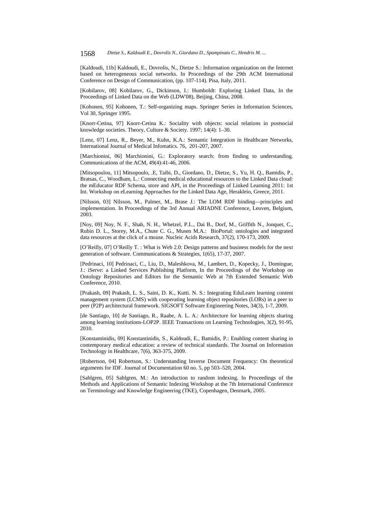[Kaldoudi, 11b] Kaldoudi, E., Dovrolis, N., Dietze S.: Information organization on the Internet based on heterogeneous social networks. In Proceedings of the 29th ACM International Conference on Design of Communication, (pp. 107-114). Pisa, Italy, 2011.

[Kobilarov, 08] Kobilarov, G., Dickinson, I.: Humboldt: Exploring Linked Data, In the Proceedings of Linked Data on the Web (LDW'08), Beijing, China, 2008.

[Kohonen, 95] Kohonen, T.: Self-organizing maps. Springer Series in Information Sciences, Vol 30, Springer 1995.

[Knorr-Cetina, 97] Knorr-Cetina K.: Sociality with objects: social relations in postsocial knowledge societies. Theory, Culture & Society. 1997; 14(4): 1–30.

[Lenz, 07] Lenz, R., Beyer, M., Kuhn, K.A.: Semantic Integration in Healthcare Networks, International Journal of Medical Infomatics. 76, 201-207, 2007.

[Marchionini, 06] Marchionini, G.: Exploratory search: from finding to understanding. Communications of the ACM, 49(4):41-46, 2006.

[Mitsopoulou, 11] Mitsopoulo, .E, Taibi, D., Giordano, D., Dietze, S., Yu, H. Q., Bamidis, P., Bratsas, C., Woodham, L.: Connecting medical educational resources to the Linked Data cloud: the mEducator RDF Schema, store and API, in the Proceedings of Linked Learning 2011: 1st Int. Workshop on eLearning Approaches for the Linked Data Age, Herakleio, Greece, 2011.

[Nilsson, 03] Nilsson, M., Palmer, M., Brase J.: The LOM RDF binding—principles and implementation. In Proceedings of the 3rd Annual ARIADNE Conference, Leuven, Belgium, 2003.

[Noy, 09] Noy, N. F., Shah, N. H., Whetzel, P.L., Dai B., Dorf, M., Griffith N., Jonquet, C., Rubin D. L., Storey, M.A., Chute C. G., Musen M.A.: BioPortal: ontologies and integrated data resources at the click of a mouse. Nucleic Acids Research, 37(2), 170-173, 2009.

[O'Reilly, 07] O'Reilly T. : What is Web 2.0: Design patterns and business models for the next generation of software. Communications & Strategies, 1(65), 17-37, 2007.

[Pedrinaci, 10] Pedrinaci, C., Liu, D., Maleshkova, M., Lambert, D., Kopecky, J., Domingue, J.: iServe: a Linked Services Publishing Platform, In the Proceedings of the Workshop on Ontology Repositories and Editors for the Semantic Web at 7th Extended Semantic Web Conference, 2010.

[Prakash, 09] Prakash, L. S., Saini, D. K., Kutti. N. S.: Integrating EduLearn learning content management system (LCMS) with cooperating learning object repositories (LORs) in a peer to peer (P2P) architectural framework. SIGSOFT Software Engineering Notes, 34(3), 1-7, 2009.

[de Santiago, 10] de Santiago, R., Raabe, A. L. A.: Architecture for learning objects sharing among learning institutions-LOP2P. IEEE Transactions on Learning Technologies, 3(2), 91-95, 2010.

[Konstantinidis, 09] Konstantinidis, S., Kaldoudi, E., Bamidis, P.: Enabling content sharing in contemporary medical education: a review of technical standards. The Journal on Information Technology in Healthcare, 7(6), 363-375, 2009.

[Robertson, 04] Robertson, S.: Understanding Inverse Document Frequency: On theoretical arguments for IDF. Journal of Documentation 60 no. 5, pp 503–520, 2004.

[Sahlgren, 05] Sahlgren, M.: An introduction to random indexing. In Proceedings of the Methods and Applications of Semantic Indexing Workshop at the 7th International Conference on Terminology and Knowledge Engineering (TKE), Copenhagen, Denmark, 2005.